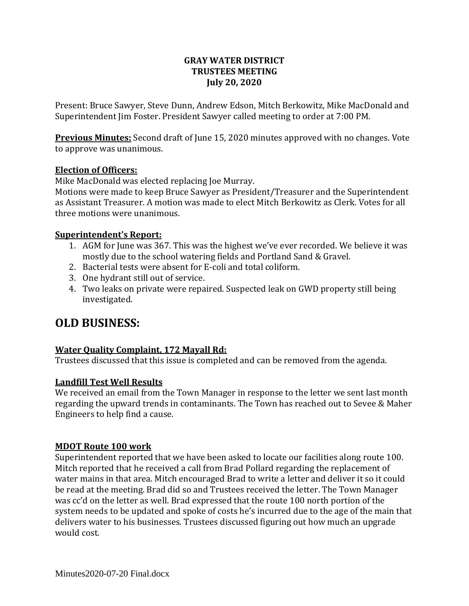## **GRAY WATER DISTRICT TRUSTEES MEETING July 20, 2020**

Present: Bruce Sawyer, Steve Dunn, Andrew Edson, Mitch Berkowitz, Mike MacDonald and Superintendent Jim Foster. President Sawyer called meeting to order at 7:00 PM.

**Previous Minutes:** Second draft of June 15, 2020 minutes approved with no changes. Vote to approve was unanimous.

## **Election of Officers:**

Mike MacDonald was elected replacing Joe Murray.

Motions were made to keep Bruce Sawyer as President/Treasurer and the Superintendent as Assistant Treasurer. A motion was made to elect Mitch Berkowitz as Clerk. Votes for all three motions were unanimous.

## **Superintendent's Report:**

- 1. AGM for June was 367. This was the highest we've ever recorded. We believe it was mostly due to the school watering fields and Portland Sand & Gravel.
- 2. Bacterial tests were absent for E-coli and total coliform.
- 3. One hydrant still out of service.
- 4. Two leaks on private were repaired. Suspected leak on GWD property still being investigated.

# **OLD BUSINESS:**

# **Water Quality Complaint, 172 Mayall Rd:**

Trustees discussed that this issue is completed and can be removed from the agenda.

# **Landfill Test Well Results**

We received an email from the Town Manager in response to the letter we sent last month regarding the upward trends in contaminants. The Town has reached out to Sevee & Maher Engineers to help find a cause.

#### **MDOT Route 100 work**

Superintendent reported that we have been asked to locate our facilities along route 100. Mitch reported that he received a call from Brad Pollard regarding the replacement of water mains in that area. Mitch encouraged Brad to write a letter and deliver it so it could be read at the meeting. Brad did so and Trustees received the letter. The Town Manager was cc'd on the letter as well. Brad expressed that the route 100 north portion of the system needs to be updated and spoke of costs he's incurred due to the age of the main that delivers water to his businesses. Trustees discussed figuring out how much an upgrade would cost.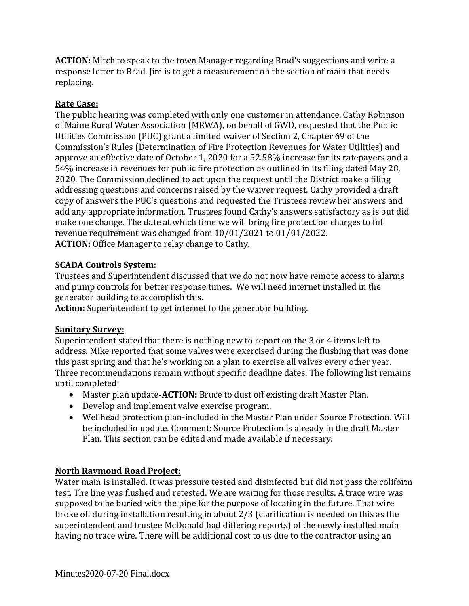**ACTION:** Mitch to speak to the town Manager regarding Brad's suggestions and write a response letter to Brad. Jim is to get a measurement on the section of main that needs replacing.

## **Rate Case:**

The public hearing was completed with only one customer in attendance. Cathy Robinson of Maine Rural Water Association (MRWA), on behalf of GWD, requested that the Public Utilities Commission (PUC) grant a limited waiver of Section 2, Chapter 69 of the Commission's Rules (Determination of Fire Protection Revenues for Water Utilities) and approve an effective date of October 1, 2020 for a 52.58% increase for its ratepayers and a 54% increase in revenues for public fire protection as outlined in its filing dated May 28, 2020. The Commission declined to act upon the request until the District make a filing addressing questions and concerns raised by the waiver request. Cathy provided a draft copy of answers the PUC's questions and requested the Trustees review her answers and add any appropriate information. Trustees found Cathy's answers satisfactory as is but did make one change. The date at which time we will bring fire protection charges to full revenue requirement was changed from 10/01/2021 to 01/01/2022. **ACTION:** Office Manager to relay change to Cathy.

## **SCADA Controls System:**

Trustees and Superintendent discussed that we do not now have remote access to alarms and pump controls for better response times. We will need internet installed in the generator building to accomplish this.

**Action:** Superintendent to get internet to the generator building.

#### **Sanitary Survey:**

Superintendent stated that there is nothing new to report on the 3 or 4 items left to address. Mike reported that some valves were exercised during the flushing that was done this past spring and that he's working on a plan to exercise all valves every other year. Three recommendations remain without specific deadline dates. The following list remains until completed:

- Master plan update-**ACTION:** Bruce to dust off existing draft Master Plan.
- Develop and implement valve exercise program.
- Wellhead protection plan-included in the Master Plan under Source Protection. Will be included in update. Comment: Source Protection is already in the draft Master Plan. This section can be edited and made available if necessary.

#### **North Raymond Road Project:**

Water main is installed. It was pressure tested and disinfected but did not pass the coliform test. The line was flushed and retested. We are waiting for those results. A trace wire was supposed to be buried with the pipe for the purpose of locating in the future. That wire broke off during installation resulting in about 2/3 (clarification is needed on this as the superintendent and trustee McDonald had differing reports) of the newly installed main having no trace wire. There will be additional cost to us due to the contractor using an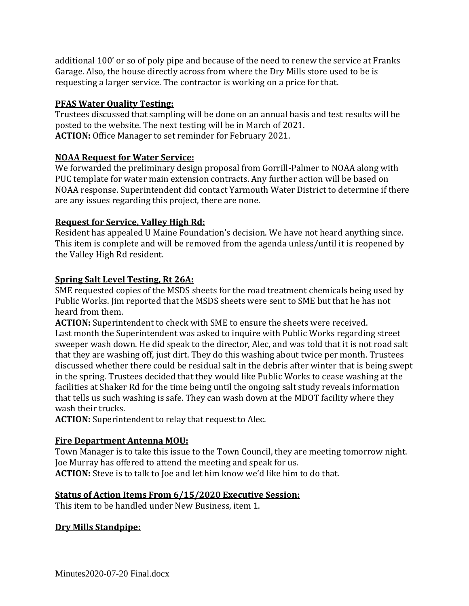additional 100' or so of poly pipe and because of the need to renew the service at Franks Garage. Also, the house directly across from where the Dry Mills store used to be is requesting a larger service. The contractor is working on a price for that.

# **PFAS Water Quality Testing:**

Trustees discussed that sampling will be done on an annual basis and test results will be posted to the website. The next testing will be in March of 2021. **ACTION:** Office Manager to set reminder for February 2021.

## **NOAA Request for Water Service:**

We forwarded the preliminary design proposal from Gorrill-Palmer to NOAA along with PUC template for water main extension contracts. Any further action will be based on NOAA response. Superintendent did contact Yarmouth Water District to determine if there are any issues regarding this project, there are none.

## **Request for Service, Valley High Rd:**

Resident has appealed U Maine Foundation's decision. We have not heard anything since. This item is complete and will be removed from the agenda unless/until it is reopened by the Valley High Rd resident.

# **Spring Salt Level Testing, Rt 26A:**

SME requested copies of the MSDS sheets for the road treatment chemicals being used by Public Works. Jim reported that the MSDS sheets were sent to SME but that he has not heard from them.

**ACTION:** Superintendent to check with SME to ensure the sheets were received. Last month the Superintendent was asked to inquire with Public Works regarding street sweeper wash down. He did speak to the director, Alec, and was told that it is not road salt that they are washing off, just dirt. They do this washing about twice per month. Trustees discussed whether there could be residual salt in the debris after winter that is being swept in the spring. Trustees decided that they would like Public Works to cease washing at the facilities at Shaker Rd for the time being until the ongoing salt study reveals information that tells us such washing is safe. They can wash down at the MDOT facility where they wash their trucks.

**ACTION:** Superintendent to relay that request to Alec.

# **Fire Department Antenna MOU:**

Town Manager is to take this issue to the Town Council, they are meeting tomorrow night. Joe Murray has offered to attend the meeting and speak for us. **ACTION:** Steve is to talk to Joe and let him know we'd like him to do that.

# **Status of Action Items From 6/15/2020 Executive Session:**

This item to be handled under New Business, item 1.

#### **Dry Mills Standpipe:**